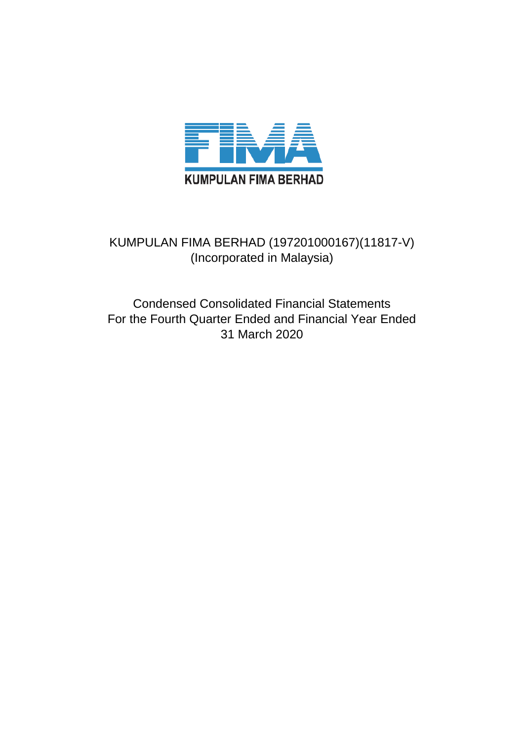

# KUMPULAN FIMA BERHAD (197201000167)(11817-V) (Incorporated in Malaysia)

Condensed Consolidated Financial Statements For the Fourth Quarter Ended and Financial Year Ended 31 March 2020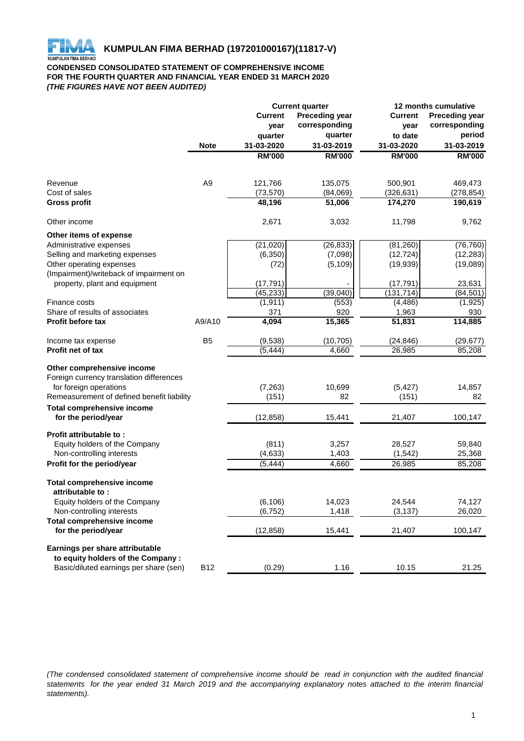

# **CONDENSED CONSOLIDATED STATEMENT OF COMPREHENSIVE INCOME FOR THE FOURTH QUARTER AND FINANCIAL YEAR ENDED 31 MARCH 2020** *(THE FIGURES HAVE NOT BEEN AUDITED)*

|                                                                        |                |                | <b>Current quarter</b> |               | 12 months cumulative  |  |  |
|------------------------------------------------------------------------|----------------|----------------|------------------------|---------------|-----------------------|--|--|
|                                                                        |                | <b>Current</b> | <b>Preceding year</b>  | Current       | <b>Preceding year</b> |  |  |
|                                                                        |                | year           | corresponding          | year          | corresponding         |  |  |
|                                                                        |                | quarter        | quarter                | to date       | period                |  |  |
|                                                                        | <b>Note</b>    | 31-03-2020     | 31-03-2019             | 31-03-2020    | 31-03-2019            |  |  |
|                                                                        |                | <b>RM'000</b>  | <b>RM'000</b>          | <b>RM'000</b> | <b>RM'000</b>         |  |  |
|                                                                        |                |                |                        |               |                       |  |  |
| Revenue                                                                | A <sub>9</sub> | 121,766        | 135,075                | 500,901       | 469,473               |  |  |
| Cost of sales                                                          |                | (73, 570)      | (84,069)               | (326, 631)    | (278, 854)            |  |  |
| <b>Gross profit</b>                                                    |                | 48,196         | 51,006                 | 174,270       | 190,619               |  |  |
| Other income                                                           |                | 2,671          | 3,032                  | 11,798        | 9,762                 |  |  |
| Other items of expense                                                 |                |                |                        |               |                       |  |  |
| Administrative expenses                                                |                | (21, 020)      | (26, 833)              | (81, 260)     | (76, 760)             |  |  |
| Selling and marketing expenses                                         |                | (6, 350)       | (7,098)                | (12, 724)     | (12, 283)             |  |  |
| Other operating expenses<br>(Impairment)/writeback of impairment on    |                | (72)           | (5, 109)               | (19, 939)     | (19,089)              |  |  |
| property, plant and equipment                                          |                | (17, 791)      |                        | (17, 791)     | 23,631                |  |  |
|                                                                        |                | (45, 233)      | (39,040)               | (131, 714)    | (84, 501)             |  |  |
| Finance costs                                                          |                | (1, 911)       | (553)                  | (4, 486)      | (1, 925)              |  |  |
| Share of results of associates                                         |                | 371            | 920                    | 1,963         | 930                   |  |  |
| <b>Profit before tax</b>                                               | A9/A10         | 4,094          | 15,365                 | 51,831        | 114,885               |  |  |
| Income tax expense                                                     | B <sub>5</sub> | (9,538)        |                        | (24, 846)     | (29, 677)             |  |  |
| Profit net of tax                                                      |                | (5, 444)       | (10, 705)<br>4,660     | 26,985        | 85,208                |  |  |
|                                                                        |                |                |                        |               |                       |  |  |
| Other comprehensive income<br>Foreign currency translation differences |                |                |                        |               |                       |  |  |
| for foreign operations                                                 |                | (7, 263)       | 10,699                 | (5, 427)      | 14,857                |  |  |
| Remeasurement of defined benefit liability                             |                | (151)          | 82                     | (151)         | 82                    |  |  |
| <b>Total comprehensive income</b>                                      |                |                |                        |               |                       |  |  |
| for the period/year                                                    |                | (12, 858)      | 15,441                 | 21,407        | 100,147               |  |  |
| Profit attributable to:                                                |                |                |                        |               |                       |  |  |
| Equity holders of the Company                                          |                | (811)          | 3,257                  | 28,527        | 59,840                |  |  |
| Non-controlling interests                                              |                | (4,633)        | 1,403                  | (1, 542)      | 25,368                |  |  |
| Profit for the period/year                                             |                | (5, 444)       | 4,660                  | 26,985        | 85,208                |  |  |
| <b>Total comprehensive income</b>                                      |                |                |                        |               |                       |  |  |
| attributable to:                                                       |                |                |                        |               |                       |  |  |
| Equity holders of the Company                                          |                | (6, 106)       | 14,023                 | 24,544        | 74,127                |  |  |
| Non-controlling interests                                              |                | (6, 752)       | 1,418                  | (3, 137)      | 26,020                |  |  |
| <b>Total comprehensive income</b>                                      |                |                |                        |               |                       |  |  |
| for the period/year                                                    |                | (12, 858)      | 15,441                 | 21,407        | 100,147               |  |  |
| Earnings per share attributable                                        |                |                |                        |               |                       |  |  |
| to equity holders of the Company :                                     |                |                |                        |               |                       |  |  |
| Basic/diluted earnings per share (sen)                                 | <b>B12</b>     | (0.29)         | 1.16                   | 10.15         | 21.25                 |  |  |

(The condensed consolidated statement of comprehensive income should be read in conjunction with the audited financial statements for the year ended 31 March 2019 and the accompanying explanatory notes attached to the interim financial *statements).*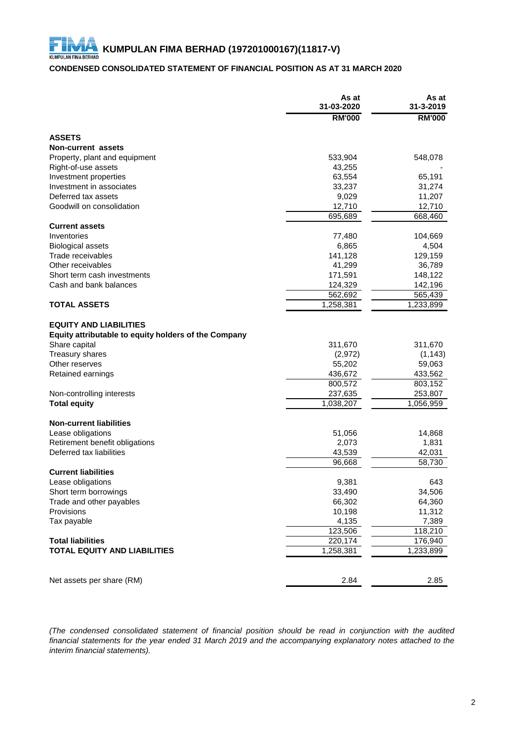# **CONDENSED CONSOLIDATED STATEMENT OF FINANCIAL POSITION AS AT 31 MARCH 2020**

|                                                                                       | As at<br>31-03-2020 | As at<br>31-3-2019 |
|---------------------------------------------------------------------------------------|---------------------|--------------------|
|                                                                                       | <b>RM'000</b>       | <b>RM'000</b>      |
| <b>ASSETS</b>                                                                         |                     |                    |
| Non-current assets                                                                    |                     |                    |
| Property, plant and equipment                                                         | 533,904             | 548,078            |
| Right-of-use assets                                                                   | 43,255              |                    |
| Investment properties                                                                 | 63,554              | 65,191             |
| Investment in associates                                                              | 33,237              | 31,274             |
| Deferred tax assets                                                                   | 9,029               | 11,207             |
| Goodwill on consolidation                                                             | 12,710              | 12,710             |
|                                                                                       | 695,689             | 668,460            |
| <b>Current assets</b>                                                                 |                     |                    |
| Inventories                                                                           | 77,480              | 104,669            |
| <b>Biological assets</b>                                                              | 6,865               | 4,504              |
| Trade receivables                                                                     | 141,128             | 129,159            |
| Other receivables                                                                     | 41,299              | 36,789             |
| Short term cash investments                                                           | 171,591             | 148,122            |
| Cash and bank balances                                                                | 124,329             | 142,196            |
|                                                                                       | 562,692             | 565,439            |
| <b>TOTAL ASSETS</b>                                                                   | 1,258,381           | 1,233,899          |
| <b>EQUITY AND LIABILITIES</b><br>Equity attributable to equity holders of the Company |                     |                    |
| Share capital                                                                         | 311,670             | 311,670            |
| <b>Treasury shares</b>                                                                | (2,972)             | (1, 143)           |
| Other reserves                                                                        | 55,202              | 59,063             |
| Retained earnings                                                                     | 436,672             | 433,562            |
|                                                                                       | 800,572             | 803,152            |
| Non-controlling interests                                                             | 237,635             | 253,807            |
| <b>Total equity</b>                                                                   | 1,038,207           | 1,056,959          |
| <b>Non-current liabilities</b>                                                        |                     |                    |
| Lease obligations                                                                     | 51,056              | 14,868             |
| Retirement benefit obligations                                                        | 2,073               | 1,831              |
| Deferred tax liabilities                                                              | 43,539              | 42,031             |
|                                                                                       | 96,668              | 58,730             |
| <b>Current liabilities</b>                                                            |                     |                    |
| Lease obligations                                                                     | 9,381               | 643                |
| Short term borrowings                                                                 | 33,490              | 34,506             |
| Trade and other payables                                                              | 66,302              | 64,360             |
| Provisions                                                                            | 10,198              | 11,312             |
| Tax payable                                                                           | 4,135               | 7,389              |
|                                                                                       | 123,506             | 118,210            |
| <b>Total liabilities</b>                                                              | 220,174             | 176,940            |
| <b>TOTAL EQUITY AND LIABILITIES</b>                                                   | 1,258,381           | 1,233,899          |
| Net assets per share (RM)                                                             | 2.84                | 2.85               |

*(The condensed consolidated statement of financial position should be read in conjunction with the audited* financial statements for the year ended 31 March 2019 and the accompanying explanatory notes attached to the *interim financial statements).*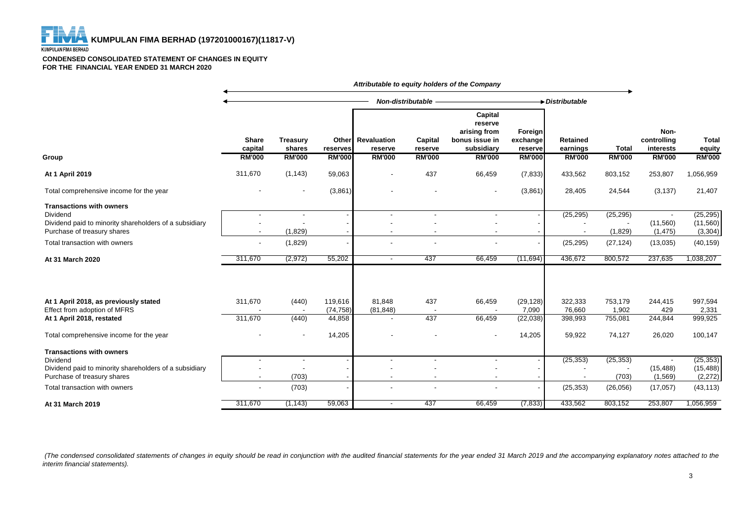#### **KUMPULAN FIMA BERHAD**

#### **CONDENSED CONSOLIDATED STATEMENT OF CHANGES IN EQUITY FOR THE FINANCIAL YEAR ENDED 31 MARCH 2020**

|                                                                                                                                                                       | Attributable to equity holders of the Company |                                            |                                |                                            |                          |                                                                    |                                 |                              |                                 |                                   |                                                 |
|-----------------------------------------------------------------------------------------------------------------------------------------------------------------------|-----------------------------------------------|--------------------------------------------|--------------------------------|--------------------------------------------|--------------------------|--------------------------------------------------------------------|---------------------------------|------------------------------|---------------------------------|-----------------------------------|-------------------------------------------------|
|                                                                                                                                                                       |                                               |                                            | Non-distributable              |                                            |                          |                                                                    | Distributable                   |                              |                                 |                                   |                                                 |
|                                                                                                                                                                       | <b>Share</b><br>capital                       | <b>Treasury</b><br>shares                  | reserves                       | Other Revaluation<br>reserve               | Capital<br>reserve       | Capital<br>reserve<br>arising from<br>bonus issue in<br>subsidiary | Foreign<br>exchange<br>reserve  | <b>Retained</b><br>earnings  | <b>Total</b>                    | Non-<br>controlling<br>interests  | Total<br>equity                                 |
| Group                                                                                                                                                                 | <b>RM'000</b>                                 | <b>RM'000</b>                              | <b>RM'000</b>                  | <b>RM'000</b>                              | <b>RM'000</b>            | <b>RM'000</b>                                                      | <b>RM'000</b>                   | <b>RM'000</b>                | <b>RM'000</b>                   | <b>RM'000</b>                     | <b>RM'000</b>                                   |
| At 1 April 2019                                                                                                                                                       | 311,670                                       | (1, 143)                                   | 59,063                         | ÷,                                         | 437                      | 66,459                                                             | (7, 833)                        | 433,562                      | 803,152                         | 253,807                           | 1,056,959                                       |
| Total comprehensive income for the year                                                                                                                               |                                               |                                            | (3,861)                        |                                            |                          | $\overline{\phantom{a}}$                                           | (3,861)                         | 28,405                       | 24,544                          | (3, 137)                          | 21,407                                          |
| <b>Transactions with owners</b><br>Dividend<br>Dividend paid to minority shareholders of a subsidiary<br>Purchase of treasury shares                                  | $\overline{\phantom{a}}$<br>$\sim$            | $\blacksquare$<br>(1,829)                  |                                | $\sim$<br>$\overline{\phantom{a}}$         | $\overline{\phantom{a}}$ | $\sim$<br>$\overline{\phantom{a}}$                                 |                                 | (25, 295)                    | (25, 295)<br>(1,829)            | (11,560)<br>(1, 475)              | (25, 295)<br>(11,560)<br>(3, 304)               |
| Total transaction with owners                                                                                                                                         |                                               | (1,829)                                    |                                |                                            |                          | ÷                                                                  |                                 | (25, 295)                    | (27, 124)                       | (13,035)                          | (40, 159)                                       |
| At 31 March 2020                                                                                                                                                      | 311,670                                       | (2, 972)                                   | 55,202                         | $\sim$                                     | 437                      | 66,459                                                             | (11, 694)                       | 436,672                      | 800,572                         | 237,635                           | 1,038,207                                       |
| At 1 April 2018, as previously stated<br>Effect from adoption of MFRS<br>At 1 April 2018, restated                                                                    | 311,670<br>311,670                            | (440)<br>(440)                             | 119,616<br>(74, 758)<br>44,858 | 81,848<br>(81, 848)<br>$\blacksquare$      | 437<br>437               | 66,459<br>66,459                                                   | (29, 128)<br>7,090<br>(22, 038) | 322,333<br>76,660<br>398,993 | 753,179<br>1,902<br>755,081     | 244,415<br>429<br>244,844         | 997,594<br>2,331<br>999,925                     |
| Total comprehensive income for the year                                                                                                                               |                                               |                                            | 14,205                         |                                            |                          |                                                                    | 14,205                          | 59,922                       | 74,127                          | 26,020                            | 100,147                                         |
| <b>Transactions with owners</b><br>Dividend<br>Dividend paid to minority shareholders of a subsidiary<br>Purchase of treasury shares<br>Total transaction with owners | $\sim$                                        | $\overline{\phantom{a}}$<br>(703)<br>(703) |                                | $\blacksquare$<br>$\overline{\phantom{a}}$ | $\overline{\phantom{a}}$ | $\blacksquare$<br>$\overline{\phantom{a}}$                         |                                 | (25, 353)<br>(25, 353)       | (25, 353)<br>(703)<br>(26, 056) | (15, 488)<br>(1, 569)<br>(17,057) | (25, 353)<br>(15, 488)<br>(2, 272)<br>(43, 113) |
| At 31 March 2019                                                                                                                                                      | 311,670                                       | (1, 143)                                   | 59,063                         | $\sim$                                     | 437                      | 66,459                                                             | (7, 833)                        | 433,562                      | 803,152                         | 253,807                           | 1,056,959                                       |

(The condensed consolidated statements of changes in equity should be read in conjunction with the audited financial statements for the year ended 31 March 2019 and the accompanying explanatory notes attached to the *interim financial statements).*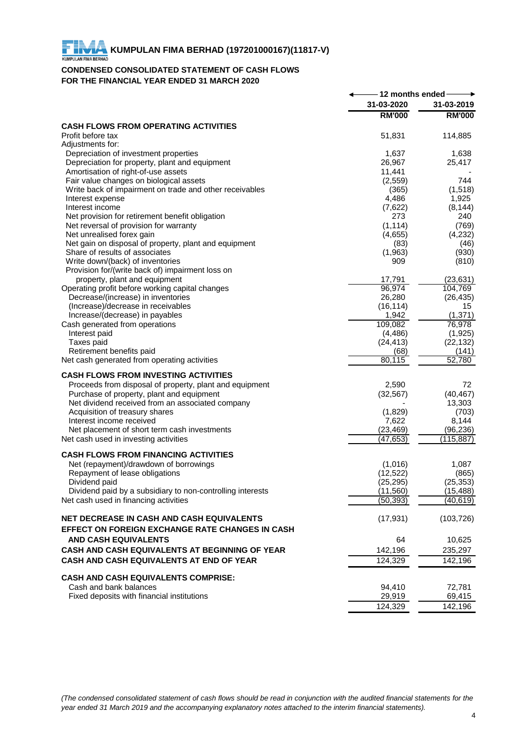# **CONDENSED CONSOLIDATED STATEMENT OF CASH FLOWS FOR THE FINANCIAL YEAR ENDED 31 MARCH 2020**

|                                                                          | $\,$ 12 months ended $\,$ |                    |
|--------------------------------------------------------------------------|---------------------------|--------------------|
|                                                                          | 31-03-2020                | 31-03-2019         |
|                                                                          | <b>RM'000</b>             | <b>RM'000</b>      |
| <b>CASH FLOWS FROM OPERATING ACTIVITIES</b>                              |                           |                    |
| Profit before tax                                                        | 51,831                    | 114,885            |
| Adjustments for:                                                         |                           |                    |
| Depreciation of investment properties                                    | 1,637                     | 1,638              |
| Depreciation for property, plant and equipment                           | 26,967                    | 25,417             |
| Amortisation of right-of-use assets                                      | 11,441                    |                    |
| Fair value changes on biological assets                                  | (2, 559)                  | 744                |
| Write back of impairment on trade and other receivables                  | (365)                     | (1,518)            |
| Interest expense                                                         | 4,486                     | 1,925              |
| Interest income                                                          | (7,622)                   | (8, 144)           |
| Net provision for retirement benefit obligation                          | 273                       | 240                |
| Net reversal of provision for warranty                                   | (1, 114)                  | (769)              |
| Net unrealised forex gain                                                | (4,655)                   | (4,232)            |
| Net gain on disposal of property, plant and equipment                    | (83)                      | (46)               |
| Share of results of associates                                           | (1,963)                   | (930)              |
| Write down/(back) of inventories                                         | 909                       | (810)              |
| Provision for/(write back of) impairment loss on                         |                           |                    |
| property, plant and equipment                                            | 17,791                    | (23, 631)          |
| Operating profit before working capital changes                          | 96,974                    | 104,769            |
| Decrease/(increase) in inventories                                       | 26,280                    | (26, 435)          |
| (Increase)/decrease in receivables                                       | (16, 114)                 | 15                 |
| Increase/(decrease) in payables                                          | 1,942                     | (1, 371)           |
| Cash generated from operations                                           | 109,082<br>(4, 486)       | 76,978<br>(1,925)  |
| Interest paid                                                            |                           |                    |
| Taxes paid                                                               | (24, 413)                 | (22, 132)          |
| Retirement benefits paid<br>Net cash generated from operating activities | (68)<br>80,115            | (141)<br>52,780    |
|                                                                          |                           |                    |
| <b>CASH FLOWS FROM INVESTING ACTIVITIES</b>                              |                           |                    |
| Proceeds from disposal of property, plant and equipment                  | 2,590                     | 72                 |
| Purchase of property, plant and equipment                                | (32, 567)                 | (40, 467)          |
| Net dividend received from an associated company                         |                           | 13,303             |
| Acquisition of treasury shares                                           | (1,829)                   | (703)              |
| Interest income received                                                 | 7,622                     | 8,144              |
| Net placement of short term cash investments                             | (23, 469)                 | (96, 236)          |
| Net cash used in investing activities                                    | (47, 653)                 | (115, 887)         |
| <b>CASH FLOWS FROM FINANCING ACTIVITIES</b>                              |                           |                    |
|                                                                          |                           |                    |
| Net (repayment)/drawdown of borrowings<br>Repayment of lease obligations | (1,016)<br>(12, 522)      | 1,087              |
| Dividend paid                                                            | (25, 295)                 | (865)<br>(25, 353) |
| Dividend paid by a subsidiary to non-controlling interests               | (11,560)                  | (15, 488)          |
| Net cash used in financing activities                                    | (50,393)                  | (40,619)           |
|                                                                          |                           |                    |
| NET DECREASE IN CASH AND CASH EQUIVALENTS                                | (17, 931)                 | (103, 726)         |
| EFFECT ON FOREIGN EXCHANGE RATE CHANGES IN CASH                          |                           |                    |
| <b>AND CASH EQUIVALENTS</b>                                              |                           |                    |
|                                                                          | 64                        | 10,625             |
| CASH AND CASH EQUIVALENTS AT BEGINNING OF YEAR                           | 142,196                   | 235,297            |
| CASH AND CASH EQUIVALENTS AT END OF YEAR                                 | 124,329                   | 142,196            |
| <b>CASH AND CASH EQUIVALENTS COMPRISE:</b>                               |                           |                    |
| Cash and bank balances                                                   | 94,410                    | 72,781             |
| Fixed deposits with financial institutions                               | 29,919                    | 69,415             |
|                                                                          |                           |                    |
|                                                                          | 124,329                   | 142,196            |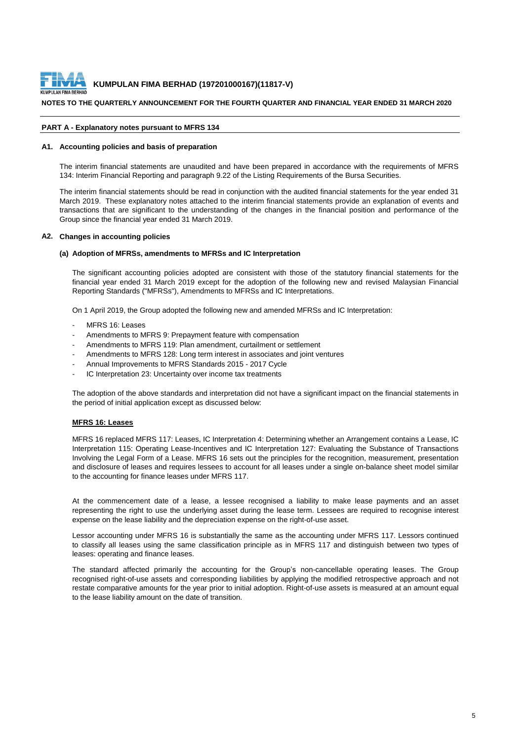

### **NOTES TO THE QUARTERLY ANNOUNCEMENT FOR THE FOURTH QUARTER AND FINANCIAL YEAR ENDED 31 MARCH 2020**

#### **PART A - Explanatory notes pursuant to MFRS 134**

#### **A1. Accounting policies and basis of preparation**

The interim financial statements are unaudited and have been prepared in accordance with the requirements of MFRS 134: Interim Financial Reporting and paragraph 9.22 of the Listing Requirements of the Bursa Securities.

The interim financial statements should be read in conjunction with the audited financial statements for the year ended 31 March 2019. These explanatory notes attached to the interim financial statements provide an explanation of events and transactions that are significant to the understanding of the changes in the financial position and performance of the Group since the financial year ended 31 March 2019.

#### **A2. Changes in accounting policies**

#### **(a) Adoption of MFRSs, amendments to MFRSs and IC Interpretation**

The significant accounting policies adopted are consistent with those of the statutory financial statements for the financial year ended 31 March 2019 except for the adoption of the following new and revised Malaysian Financial Reporting Standards ("MFRSs"), Amendments to MFRSs and IC Interpretations.

On 1 April 2019, the Group adopted the following new and amended MFRSs and IC Interpretation:

- MFRS 16: Leases
- Amendments to MFRS 9: Prepayment feature with compensation
- Amendments to MFRS 119: Plan amendment, curtailment or settlement
- Amendments to MFRS 128: Long term interest in associates and joint ventures
- Annual Improvements to MFRS Standards 2015 2017 Cycle
- IC Interpretation 23: Uncertainty over income tax treatments

The adoption of the above standards and interpretation did not have a significant impact on the financial statements in the period of initial application except as discussed below:

#### **MFRS 16: Leases**

MFRS 16 replaced MFRS 117: Leases, IC Interpretation 4: Determining whether an Arrangement contains a Lease, IC Interpretation 115: Operating Lease-Incentives and IC Interpretation 127: Evaluating the Substance of Transactions Involving the Legal Form of a Lease. MFRS 16 sets out the principles for the recognition, measurement, presentation and disclosure of leases and requires lessees to account for all leases under a single on-balance sheet model similar to the accounting for finance leases under MFRS 117.

At the commencement date of a lease, a lessee recognised a liability to make lease payments and an asset representing the right to use the underlying asset during the lease term. Lessees are required to recognise interest expense on the lease liability and the depreciation expense on the right-of-use asset.

Lessor accounting under MFRS 16 is substantially the same as the accounting under MFRS 117. Lessors continued to classify all leases using the same classification principle as in MFRS 117 and distinguish between two types of leases: operating and finance leases.

The standard affected primarily the accounting for the Group's non-cancellable operating leases. The Group recognised right-of-use assets and corresponding liabilities by applying the modified retrospective approach and not restate comparative amounts for the year prior to initial adoption. Right-of-use assets is measured at an amount equal to the lease liability amount on the date of transition.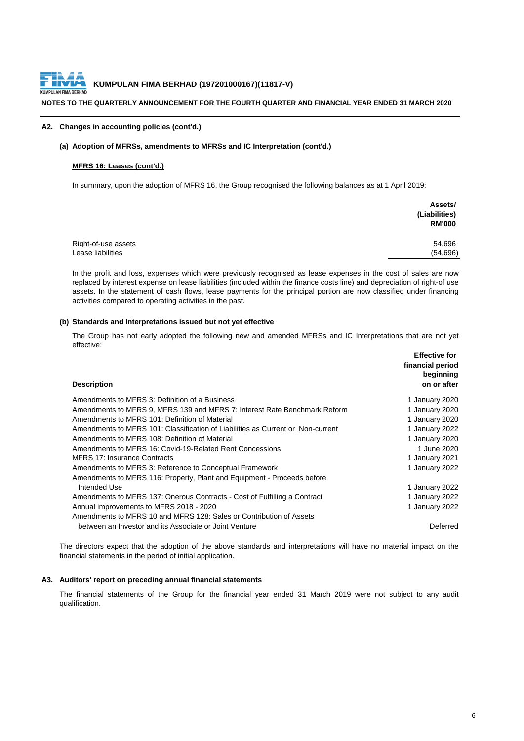

#### **NOTES TO THE QUARTERLY ANNOUNCEMENT FOR THE FOURTH QUARTER AND FINANCIAL YEAR ENDED 31 MARCH 2020**

### **A2. Changes in accounting policies (cont'd.)**

### **(a) Adoption of MFRSs, amendments to MFRSs and IC Interpretation (cont'd.)**

#### **MFRS 16: Leases (cont'd.)**

In summary, upon the adoption of MFRS 16, the Group recognised the following balances as at 1 April 2019:

|                     | Assets/<br>(Liabilities)<br><b>RM'000</b> |
|---------------------|-------------------------------------------|
| Right-of-use assets | 54,696                                    |
| Lease liabilities   | (54, 696)                                 |

In the profit and loss, expenses which were previously recognised as lease expenses in the cost of sales are now replaced by interest expense on lease liabilities (included within the finance costs line) and depreciation of right-of use assets. In the statement of cash flows, lease payments for the principal portion are now classified under financing activities compared to operating activities in the past.

# **(b) Standards and Interpretations issued but not yet effective**

The Group has not early adopted the following new and amended MFRSs and IC Interpretations that are not yet effective:

| <b>Description</b>                                                              | <b>Effective for</b><br>financial period<br>beginning<br>on or after |
|---------------------------------------------------------------------------------|----------------------------------------------------------------------|
| Amendments to MFRS 3: Definition of a Business                                  | 1 January 2020                                                       |
| Amendments to MFRS 9, MFRS 139 and MFRS 7: Interest Rate Benchmark Reform       | 1 January 2020                                                       |
| Amendments to MFRS 101: Definition of Material                                  | 1 January 2020                                                       |
| Amendments to MFRS 101: Classification of Liabilities as Current or Non-current | 1 January 2022                                                       |
| Amendments to MFRS 108: Definition of Material                                  | 1 January 2020                                                       |
| Amendments to MFRS 16: Covid-19-Related Rent Concessions                        | 1 June 2020                                                          |
| <b>MFRS 17: Insurance Contracts</b>                                             | 1 January 2021                                                       |
| Amendments to MFRS 3: Reference to Conceptual Framework                         | 1 January 2022                                                       |
| Amendments to MFRS 116: Property, Plant and Equipment - Proceeds before         |                                                                      |
| Intended Use                                                                    | 1 January 2022                                                       |
| Amendments to MFRS 137: Onerous Contracts - Cost of Fulfilling a Contract       | 1 January 2022                                                       |
| Annual improvements to MFRS 2018 - 2020                                         | 1 January 2022                                                       |
| Amendments to MFRS 10 and MFRS 128: Sales or Contribution of Assets             |                                                                      |
| between an Investor and its Associate or Joint Venture                          | Deferred                                                             |
|                                                                                 |                                                                      |

The directors expect that the adoption of the above standards and interpretations will have no material impact on the financial statements in the period of initial application.

### **A3. Auditors' report on preceding annual financial statements**

The financial statements of the Group for the financial year ended 31 March 2019 were not subject to any audit qualification.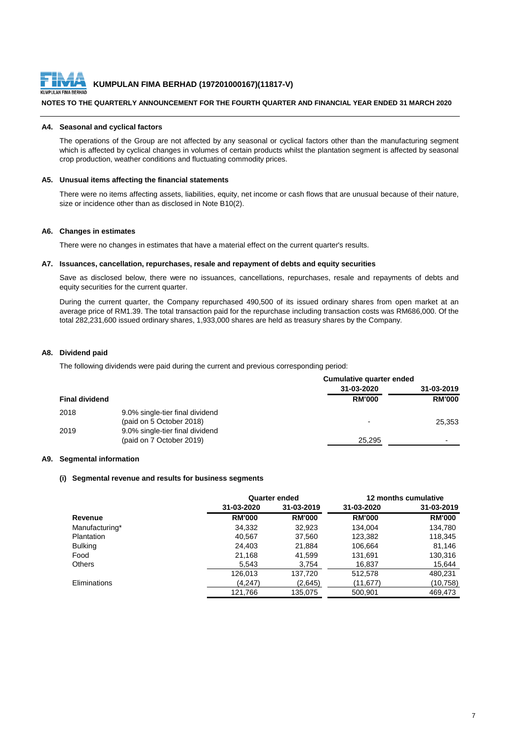

# **NOTES TO THE QUARTERLY ANNOUNCEMENT FOR THE FOURTH QUARTER AND FINANCIAL YEAR ENDED 31 MARCH 2020**

#### **A4. Seasonal and cyclical factors**

The operations of the Group are not affected by any seasonal or cyclical factors other than the manufacturing segment which is affected by cyclical changes in volumes of certain products whilst the plantation segment is affected by seasonal crop production, weather conditions and fluctuating commodity prices.

#### **A5. Unusual items affecting the financial statements**

There were no items affecting assets, liabilities, equity, net income or cash flows that are unusual because of their nature, size or incidence other than as disclosed in Note B10(2).

#### **A6. Changes in estimates**

There were no changes in estimates that have a material effect on the current quarter's results.

#### **A7. Issuances, cancellation, repurchases, resale and repayment of debts and equity securities**

Save as disclosed below, there were no issuances, cancellations, repurchases, resale and repayments of debts and equity securities for the current quarter.

During the current quarter, the Company repurchased 490,500 of its issued ordinary shares from open market at an average price of RM1.39. The total transaction paid for the repurchase including transaction costs was RM686,000. Of the total 282,231,600 issued ordinary shares, 1,933,000 shares are held as treasury shares by the Company.

#### **A8. Dividend paid**

The following dividends were paid during the current and previous corresponding period:

|                       |                                                             | Cumulative quarter ended |                          |  |  |
|-----------------------|-------------------------------------------------------------|--------------------------|--------------------------|--|--|
|                       |                                                             | 31-03-2020               | 31-03-2019               |  |  |
| <b>Final dividend</b> |                                                             | <b>RM'000</b>            | <b>RM'000</b>            |  |  |
| 2018                  | 9.0% single-tier final dividend<br>(paid on 5 October 2018) |                          | 25,353                   |  |  |
| 2019                  | 9.0% single-tier final dividend<br>(paid on 7 October 2019) | 25.295                   | $\overline{\phantom{0}}$ |  |  |

### **A9. Segmental information**

#### **(i) Segmental revenue and results for business segments**

|                |               | <b>Quarter ended</b> |               | 12 months cumulative |
|----------------|---------------|----------------------|---------------|----------------------|
|                | 31-03-2020    | 31-03-2019           | 31-03-2020    | 31-03-2019           |
| Revenue        | <b>RM'000</b> | <b>RM'000</b>        | <b>RM'000</b> | <b>RM'000</b>        |
| Manufacturing* | 34,332        | 32,923               | 134.004       | 134,780              |
| Plantation     | 40,567        | 37,560               | 123,382       | 118,345              |
| <b>Bulking</b> | 24,403        | 21,884               | 106.664       | 81,146               |
| Food           | 21,168        | 41,599               | 131.691       | 130,316              |
| <b>Others</b>  | 5,543         | 3,754                | 16,837        | 15,644               |
|                | 126,013       | 137,720              | 512,578       | 480,231              |
| Eliminations   | (4,247)       | (2,645)              | (11,677)      | (10,758)             |
|                | 121,766       | 135,075              | 500,901       | 469.473              |
|                |               |                      |               |                      |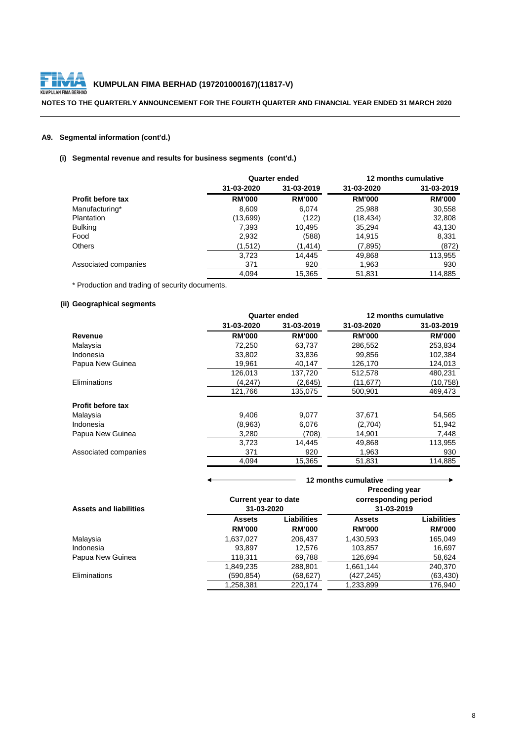

**NOTES TO THE QUARTERLY ANNOUNCEMENT FOR THE FOURTH QUARTER AND FINANCIAL YEAR ENDED 31 MARCH 2020**

# **A9. Segmental information (cont'd.)**

# **(i) Segmental revenue and results for business segments (cont'd.)**

|                          | <b>Quarter ended</b> |               |               | 12 months cumulative |
|--------------------------|----------------------|---------------|---------------|----------------------|
|                          | 31-03-2020           | 31-03-2019    | 31-03-2020    | 31-03-2019           |
| <b>Profit before tax</b> | <b>RM'000</b>        | <b>RM'000</b> | <b>RM'000</b> | <b>RM'000</b>        |
| Manufacturing*           | 8,609                | 6.074         | 25,988        | 30,558               |
| Plantation               | (13, 699)            | (122)         | (18, 434)     | 32,808               |
| <b>Bulking</b>           | 7,393                | 10.495        | 35,294        | 43,130               |
| Food                     | 2,932                | (588)         | 14,915        | 8,331                |
| <b>Others</b>            | (1,512)              | (1, 414)      | (7, 895)      | (872)                |
|                          | 3,723                | 14.445        | 49,868        | 113,955              |
| Associated companies     | 371                  | 920           | 1,963         | 930                  |
|                          | 4.094                | 15,365        | 51,831        | 114.885              |

\* Production and trading of security documents.

# **(ii) Geographical segments**

|                          |               | <b>Quarter ended</b> |               | 12 months cumulative |
|--------------------------|---------------|----------------------|---------------|----------------------|
|                          | 31-03-2020    | 31-03-2019           | 31-03-2020    | 31-03-2019           |
| Revenue                  | <b>RM'000</b> | <b>RM'000</b>        | <b>RM'000</b> | <b>RM'000</b>        |
| Malaysia                 | 72,250        | 63,737               | 286,552       | 253,834              |
| Indonesia                | 33,802        | 33,836               | 99,856        | 102,384              |
| Papua New Guinea         | 19,961        | 40,147               | 126,170       | 124,013              |
|                          | 126,013       | 137,720              | 512,578       | 480,231              |
| Eliminations             | (4,247)       | (2,645)              | (11, 677)     | (10,758)             |
|                          | 121,766       | 135,075              | 500,901       | 469,473              |
| <b>Profit before tax</b> |               |                      |               |                      |
| Malaysia                 | 9.406         | 9,077                | 37.671        | 54,565               |
| Indonesia                | (8,963)       | 6.076                | (2,704)       | 51,942               |
| Papua New Guinea         | 3,280         | (708)                | 14.901        | 7,448                |
|                          | 3.723         | 14.445               | 49,868        | 113,955              |
| Associated companies     | 371           | 920                  | 1,963         | 930                  |
|                          | 4.094         | 15,365               | 51,831        | 114.885              |

|                               |                                                                                                          | 12 months cumulative                |                                |                              |  |  |
|-------------------------------|----------------------------------------------------------------------------------------------------------|-------------------------------------|--------------------------------|------------------------------|--|--|
| <b>Assets and liabilities</b> | <b>Preceding year</b><br>corresponding period<br><b>Current year to date</b><br>31-03-2020<br>31-03-2019 |                                     |                                |                              |  |  |
|                               | <b>Assets</b><br><b>RM'000</b>                                                                           | <b>Liabilities</b><br><b>RM'000</b> | <b>Assets</b><br><b>RM'000</b> | Liabilities<br><b>RM'000</b> |  |  |
| Malaysia                      | 1,637,027                                                                                                | 206,437                             | 1,430,593                      | 165,049                      |  |  |
| Indonesia                     | 93,897                                                                                                   | 12.576                              | 103,857                        | 16,697                       |  |  |
| Papua New Guinea              | 118.311                                                                                                  | 69,788                              | 126.694                        | 58,624                       |  |  |
|                               | 1,849,235                                                                                                | 288,801                             | 1,661,144                      | 240,370                      |  |  |
| <b>Eliminations</b>           | (590,854)                                                                                                | (68, 627)                           | (427,245)                      | (63, 430)                    |  |  |
|                               | 1,258,381                                                                                                | 220,174                             | 1,233,899                      | 176,940                      |  |  |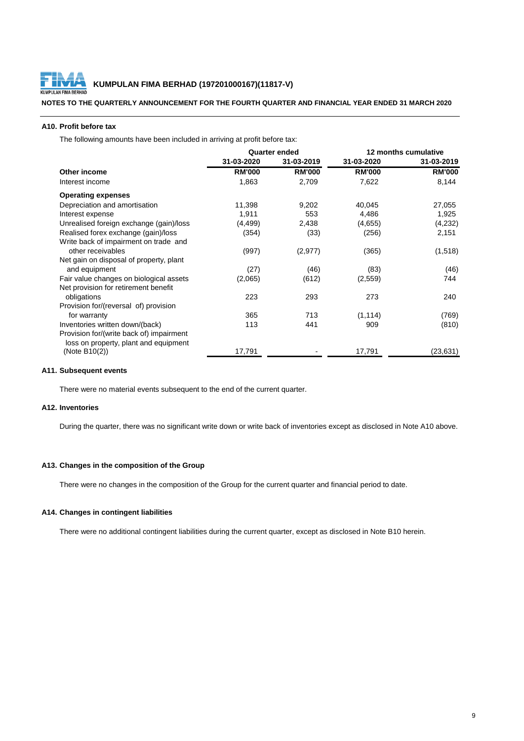

## **NOTES TO THE QUARTERLY ANNOUNCEMENT FOR THE FOURTH QUARTER AND FINANCIAL YEAR ENDED 31 MARCH 2020**

#### **A10. Profit before tax**

The following amounts have been included in arriving at profit before tax:

|                                          | <b>Quarter ended</b> |               | 12 months cumulative |               |
|------------------------------------------|----------------------|---------------|----------------------|---------------|
|                                          | 31-03-2020           | 31-03-2019    | 31-03-2020           | 31-03-2019    |
| Other income                             | <b>RM'000</b>        | <b>RM'000</b> | <b>RM'000</b>        | <b>RM'000</b> |
| Interest income                          | 1,863                | 2,709         | 7,622                | 8,144         |
| <b>Operating expenses</b>                |                      |               |                      |               |
| Depreciation and amortisation            | 11,398               | 9,202         | 40,045               | 27,055        |
| Interest expense                         | 1,911                | 553           | 4,486                | 1,925         |
| Unrealised foreign exchange (gain)/loss  | (4, 499)             | 2,438         | (4,655)              | (4,232)       |
| Realised forex exchange (gain)/loss      | (354)                | (33)          | (256)                | 2,151         |
| Write back of impairment on trade and    |                      |               |                      |               |
| other receivables                        | (997)                | (2, 977)      | (365)                | (1, 518)      |
| Net gain on disposal of property, plant  |                      |               |                      |               |
| and equipment                            | (27)                 | (46)          | (83)                 | (46)          |
| Fair value changes on biological assets  | (2,065)              | (612)         | (2,559)              | 744           |
| Net provision for retirement benefit     |                      |               |                      |               |
| obligations                              | 223                  | 293           | 273                  | 240           |
| Provision for/(reversal of) provision    |                      |               |                      |               |
| for warranty                             | 365                  | 713           | (1, 114)             | (769)         |
| Inventories written down/(back)          | 113                  | 441           | 909                  | (810)         |
| Provision for/(write back of) impairment |                      |               |                      |               |
| loss on property, plant and equipment    |                      |               |                      |               |
| (Note $B10(2)$ )                         | 17,791               |               | 17,791               | (23, 631)     |

# **A11. Subsequent events**

There were no material events subsequent to the end of the current quarter.

#### **A12. Inventories**

During the quarter, there was no significant write down or write back of inventories except as disclosed in Note A10 above.

### **A13. Changes in the composition of the Group**

There were no changes in the composition of the Group for the current quarter and financial period to date.

# **A14. Changes in contingent liabilities**

There were no additional contingent liabilities during the current quarter, except as disclosed in Note B10 herein.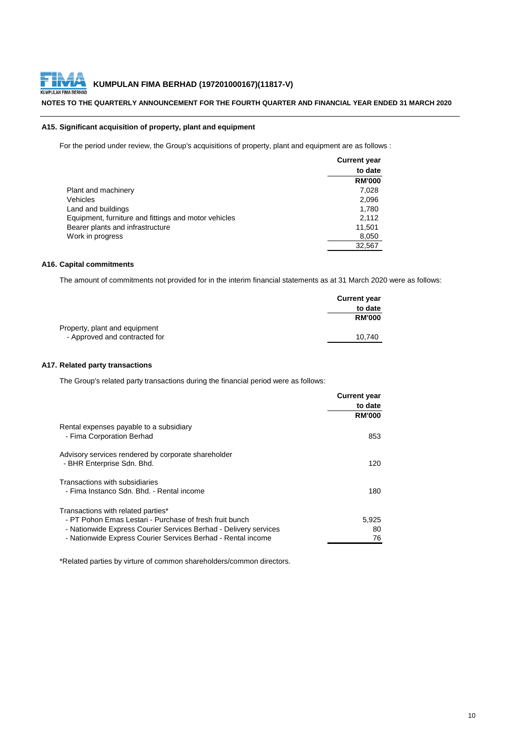

# **NOTES TO THE QUARTERLY ANNOUNCEMENT FOR THE FOURTH QUARTER AND FINANCIAL YEAR ENDED 31 MARCH 2020**

# **A15. Significant acquisition of property, plant and equipment**

For the period under review, the Group's acquisitions of property, plant and equipment are as follows :

|                                                      | <b>Current year</b> |
|------------------------------------------------------|---------------------|
|                                                      | to date             |
|                                                      | <b>RM'000</b>       |
| Plant and machinery                                  | 7.028               |
| Vehicles                                             | 2,096               |
| Land and buildings                                   | 1,780               |
| Equipment, furniture and fittings and motor vehicles | 2,112               |
| Bearer plants and infrastructure                     | 11,501              |
| Work in progress                                     | 8,050               |
|                                                      | 32.567              |

# **A16. Capital commitments**

The amount of commitments not provided for in the interim financial statements as at 31 March 2020 were as follows:

|                               | <b>Current year</b> |
|-------------------------------|---------------------|
|                               | to date             |
|                               | <b>RM'000</b>       |
| Property, plant and equipment |                     |
| - Approved and contracted for | 10.740              |

# **A17. Related party transactions**

The Group's related party transactions during the financial period were as follows:

|                                                                                                                                                                                                                                   | <b>Current year</b> |
|-----------------------------------------------------------------------------------------------------------------------------------------------------------------------------------------------------------------------------------|---------------------|
|                                                                                                                                                                                                                                   | to date             |
|                                                                                                                                                                                                                                   | <b>RM'000</b>       |
| Rental expenses payable to a subsidiary<br>- Fima Corporation Berhad                                                                                                                                                              | 853                 |
| Advisory services rendered by corporate shareholder<br>- BHR Enterprise Sdn. Bhd.                                                                                                                                                 | 120                 |
| Transactions with subsidiaries<br>- Fima Instanco Sdn. Bhd. - Rental income                                                                                                                                                       | 180                 |
| Transactions with related parties*<br>- PT Pohon Emas Lestari - Purchase of fresh fruit bunch<br>- Nationwide Express Courier Services Berhad - Delivery services<br>- Nationwide Express Courier Services Berhad - Rental income | 5,925<br>80<br>76   |

\*Related parties by virture of common shareholders/common directors.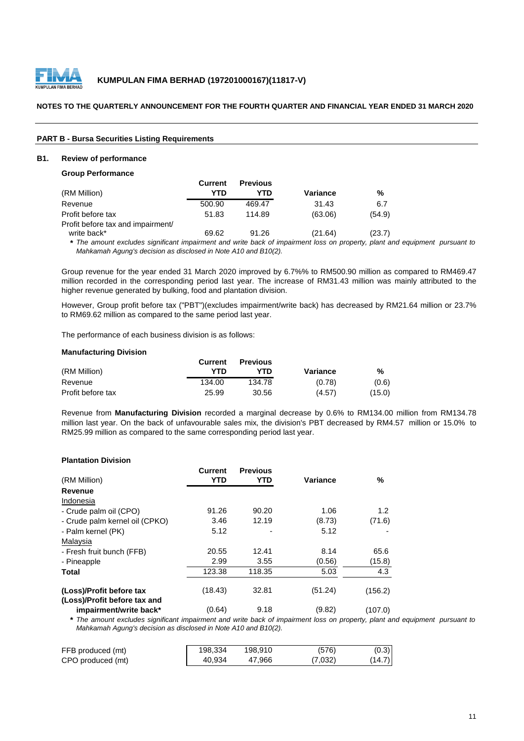

### **NOTES TO THE QUARTERLY ANNOUNCEMENT FOR THE FOURTH QUARTER AND FINANCIAL YEAR ENDED 31 MARCH 2020**

# **PART B - Bursa Securities Listing Requirements**

# **B1. Review of performance**

#### **Group Performance**

|                                                  | Current | <b>Previous</b> |          |        |
|--------------------------------------------------|---------|-----------------|----------|--------|
| (RM Million)                                     | YTD     | YTD             | Variance | %      |
| Revenue                                          | 500.90  | 469.47          | 31.43    | 6.7    |
| Profit before tax                                | 51.83   | 114.89          | (63.06)  | (54.9) |
| Profit before tax and impairment/<br>write back* | 69.62   | 91.26           | (21.64)  | (23.7) |

\* The amount excludes significant impairment and write back of impairment loss on property, plant and equipment pursuant to *Mahkamah Agung's decision as disclosed in Note A10 and B10(2).*

Group revenue for the year ended 31 March 2020 improved by 6.7%% to RM500.90 million as compared to RM469.47 million recorded in the corresponding period last year. The increase of RM31.43 million was mainly attributed to the higher revenue generated by bulking, food and plantation division.

However, Group profit before tax ("PBT")(excludes impairment/write back) has decreased by RM21.64 million or 23.7% to RM69.62 million as compared to the same period last year.

The performance of each business division is as follows:

#### **Manufacturing Division**

|                   | Current | <b>Previous</b> |          |        |
|-------------------|---------|-----------------|----------|--------|
| (RM Million)      | YTD     | YTD             | Variance | %      |
| Revenue           | 134.00  | 134.78          | (0.78)   | (0.6)  |
| Profit before tax | 25.99   | 30.56           | (4.57)   | (15.0) |

Revenue from **Manufacturing Division** recorded a marginal decrease by 0.6% to RM134.00 million from RM134.78 million last year. On the back of unfavourable sales mix, the division's PBT decreased by RM4.57 million or 15.0% to RM25.99 million as compared to the same corresponding period last year.

### **Plantation Division**

| (RM Million)                                             | Current<br>YTD | <b>Previous</b><br>YTD | Variance | %       |
|----------------------------------------------------------|----------------|------------------------|----------|---------|
| Revenue                                                  |                |                        |          |         |
| Indonesia                                                |                |                        |          |         |
| - Crude palm oil (CPO)                                   | 91.26          | 90.20                  | 1.06     | 1.2     |
| - Crude palm kernel oil (CPKO)                           | 3.46           | 12.19                  | (8.73)   | (71.6)  |
| - Palm kernel (PK)                                       | 5.12           |                        | 5.12     |         |
| Malaysia                                                 |                |                        |          |         |
| - Fresh fruit bunch (FFB)                                | 20.55          | 12.41                  | 8.14     | 65.6    |
| - Pineapple                                              | 2.99           | 3.55                   | (0.56)   | (15.8)  |
| Total                                                    | 123.38         | 118.35                 | 5.03     | 4.3     |
| (Loss)/Profit before tax<br>(Loss)/Profit before tax and | (18.43)        | 32.81                  | (51.24)  | (156.2) |
| impairment/write back*                                   | (0.64)         | 9.18                   | (9.82)   | (107.0) |

\* The amount excludes significant impairment and write back of impairment loss on property, plant and equipment pursuant to *Mahkamah Agung's decision as disclosed in Note A10 and B10(2).*

| FFB produced (mt) | 198.334 | 198.910 | (576)   | (0.3)  |
|-------------------|---------|---------|---------|--------|
| CPO produced (mt) | 40.934  | 47.966  | (7.032) | (14.7) |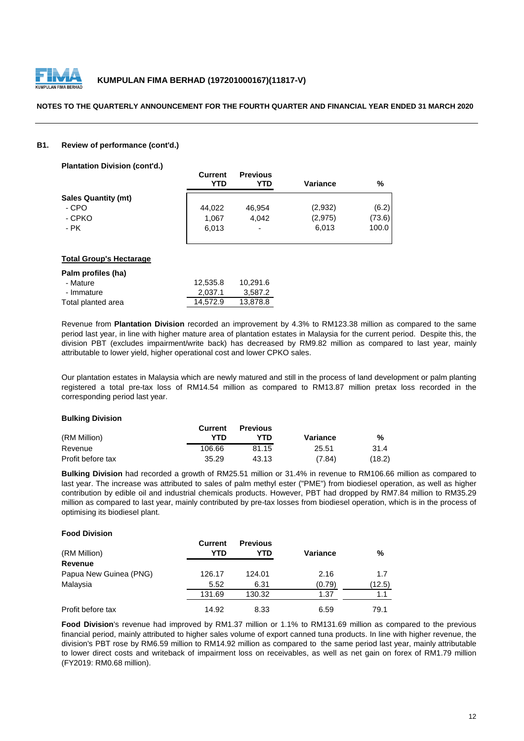

### **NOTES TO THE QUARTERLY ANNOUNCEMENT FOR THE FOURTH QUARTER AND FINANCIAL YEAR ENDED 31 MARCH 2020**

### **B1. Review of performance (cont'd.)**

**Plantation Division (cont'd.)**

|                            | <b>Current</b><br>YTD | <b>Previous</b><br>YTD | <b>Variance</b> | %      |
|----------------------------|-----------------------|------------------------|-----------------|--------|
| <b>Sales Quantity (mt)</b> |                       |                        |                 |        |
| - CPO                      | 44,022                | 46,954                 | (2,932)         | (6.2)  |
| - CPKO                     | 1,067                 | 4.042                  | (2, 975)        | (73.6) |
| - PK                       | 6.013                 | ٠                      | 6.013           | 100.0  |
|                            |                       |                        |                 |        |

#### **Total Group's Hectarage**

| Palm profiles (ha) |          |          |
|--------------------|----------|----------|
| - Mature           | 12.535.8 | 10.291.6 |
| - Immature         | 2.037.1  | 3.587.2  |
| Total planted area | 14.572.9 | 13,878.8 |

Revenue from **Plantation Division** recorded an improvement by 4.3% to RM123.38 million as compared to the same period last year, in line with higher mature area of plantation estates in Malaysia for the current period. Despite this, the division PBT (excludes impairment/write back) has decreased by RM9.82 million as compared to last year, mainly attributable to lower yield, higher operational cost and lower CPKO sales.

Our plantation estates in Malaysia which are newly matured and still in the process of land development or palm planting registered a total pre-tax loss of RM14.54 million as compared to RM13.87 million pretax loss recorded in the corresponding period last year.

### **Bulking Division**

|                   | Current | <b>Previous</b> |          |        |
|-------------------|---------|-----------------|----------|--------|
| (RM Million)      | YTN     | חד∨             | Variance | %      |
| Revenue           | 106.66  | 81.15           | 25.51    | 31.4   |
| Profit before tax | 35.29   | 43.13           | (7.84)   | (18.2) |

**Bulking Division** had recorded a growth of RM25.51 million or 31.4% in revenue to RM106.66 million as compared to last year. The increase was attributed to sales of palm methyl ester ("PME") from biodiesel operation, as well as higher contribution by edible oil and industrial chemicals products. However, PBT had dropped by RM7.84 million to RM35.29 million as compared to last year, mainly contributed by pre-tax losses from biodiesel operation, which is in the process of optimising its biodiesel plant.

## **Food Division**

| (RM Million)           | <b>Current</b><br>YTD | <b>Previous</b><br>YTD | Variance | %      |
|------------------------|-----------------------|------------------------|----------|--------|
| <b>Revenue</b>         |                       |                        |          |        |
| Papua New Guinea (PNG) | 126.17                | 124.01                 | 2.16     | 1.7    |
| Malaysia               | 5.52                  | 6.31                   | (0.79)   | (12.5) |
|                        | 131.69                | 130.32                 | 1.37     | 1.1    |
| Profit before tax      | 14.92                 | 8.33                   | 6.59     | 79.1   |

**Food Division**'s revenue had improved by RM1.37 million or 1.1% to RM131.69 million as compared to the previous financial period, mainly attributed to higher sales volume of export canned tuna products. In line with higher revenue, the division's PBT rose by RM6.59 million to RM14.92 million as compared to the same period last year, mainly attributable to lower direct costs and writeback of impairment loss on receivables, as well as net gain on forex of RM1.79 million (FY2019: RM0.68 million).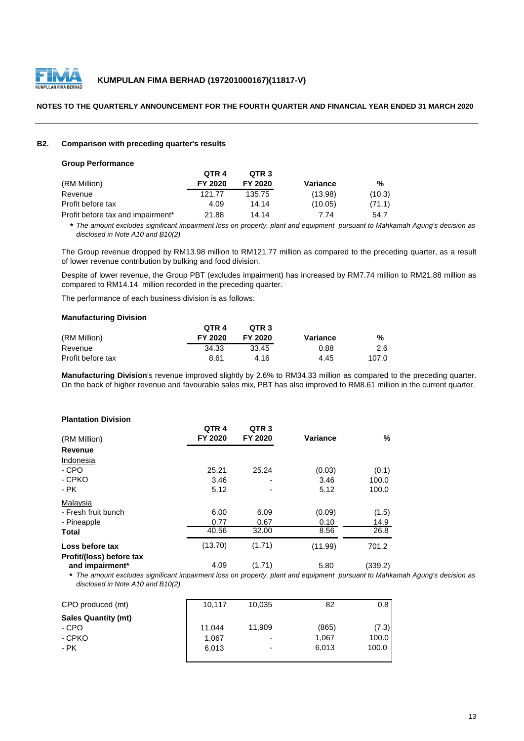

#### **NOTES TO THE QUARTERLY ANNOUNCEMENT FOR THE FOURTH QUARTER AND FINANCIAL YEAR ENDED 31 MARCH 2020**

# **B2. Comparison with preceding quarter's results**

|  | <b>Group Performance</b> |  |
|--|--------------------------|--|
|--|--------------------------|--|

|                                   | QTR 4   | OTR <sub>3</sub> |          |        |
|-----------------------------------|---------|------------------|----------|--------|
| (RM Million)                      | FY 2020 | FY 2020          | Variance | %      |
| Revenue                           | 121.77  | 135.75           | (13.98)  | (10.3) |
| Profit before tax                 | 4.09    | 14.14            | (10.05)  | (71.1) |
| Profit before tax and impairment* | 21.88   | 14.14            | 7 74     | 54.7   |

\* The amount excludes significant impairment loss on property, plant and equipment pursuant to Mahkamah Agung's decision as *disclosed in Note A10 and B10(2).*

The Group revenue dropped by RM13.98 million to RM121.77 million as compared to the preceding quarter, as a result of lower revenue contribution by bulking and food division.

Despite of lower revenue, the Group PBT (excludes impairment) has increased by RM7.74 million to RM21.88 million as compared to RM14.14 million recorded in the preceding quarter.

The performance of each business division is as follows:

#### **Manufacturing Division**

|                   | OTR <sub>4</sub> | QTR <sub>3</sub> |          |       |
|-------------------|------------------|------------------|----------|-------|
| (RM Million)      | FY 2020          | FY 2020          | Variance | %     |
| Revenue           | 34.33            | 33.45            | 0.88     | 2.6   |
| Profit before tax | 8.61             | 4.16             | 4.45     | 107.0 |

**Manufacturing Division**'s revenue improved slightly by 2.6% to RM34.33 million as compared to the preceding quarter. On the back of higher revenue and favourable sales mix, PBT has also improved to RM8.61 million in the current quarter.

### **Plantation Division**

| (RM Million)                                | QTR <sub>4</sub><br>FY 2020 | QTR <sub>3</sub><br>FY 2020 | Variance | %       |
|---------------------------------------------|-----------------------------|-----------------------------|----------|---------|
| Revenue                                     |                             |                             |          |         |
| Indonesia                                   |                             |                             |          |         |
| - CPO                                       | 25.21                       | 25.24                       | (0.03)   | (0.1)   |
| - CPKO                                      | 3.46                        | $\blacksquare$              | 3.46     | 100.0   |
| - PK                                        | 5.12                        |                             | 5.12     | 100.0   |
| Malaysia                                    |                             |                             |          |         |
| - Fresh fruit bunch                         | 6.00                        | 6.09                        | (0.09)   | (1.5)   |
| - Pineapple                                 | 0.77                        | 0.67                        | 0.10     | 14.9    |
| Total                                       | 40.56                       | 32.00                       | 8.56     | 26.8    |
| Loss before tax                             | (13.70)                     | (1.71)                      | (11.99)  | 701.2   |
| Profit/(loss) before tax<br>and impairment* | 4.09                        | (1.71)                      | 5.80     | (339.2) |

\* The amount excludes significant impairment loss on property, plant and equipment pursuant to Mahkamah Agung's decision as *disclosed in Note A10 and B10(2).*

| CPO produced (mt)          | 10.117 | 10,035 | 82    | 0.8   |
|----------------------------|--------|--------|-------|-------|
| <b>Sales Quantity (mt)</b> |        |        |       |       |
| - CPO                      | 11,044 | 11,909 | (865) | (7.3) |
| - CPKO                     | 1,067  | ۰      | 1,067 | 100.0 |
| - PK                       | 6.013  | -      | 6.013 | 100.0 |
|                            |        |        |       |       |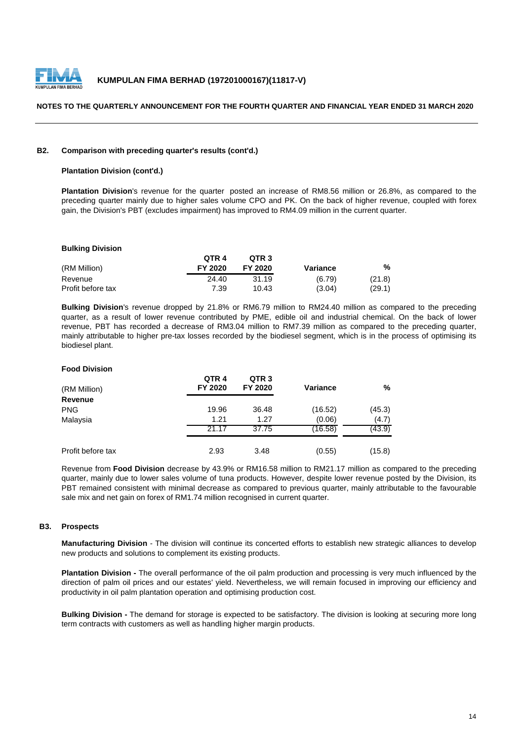

## **NOTES TO THE QUARTERLY ANNOUNCEMENT FOR THE FOURTH QUARTER AND FINANCIAL YEAR ENDED 31 MARCH 2020**

### **B2. Comparison with preceding quarter's results (cont'd.)**

## **Plantation Division (cont'd.)**

**Plantation Division**'s revenue for the quarter posted an increase of RM8.56 million or 26.8%, as compared to the preceding quarter mainly due to higher sales volume CPO and PK. On the back of higher revenue, coupled with forex gain, the Division's PBT (excludes impairment) has improved to RM4.09 million in the current quarter.

#### **Bulking Division**

|                   | QTR <sub>4</sub> | OTR <sub>3</sub> |          |        |
|-------------------|------------------|------------------|----------|--------|
| (RM Million)      | FY 2020          | FY 2020          | Variance | %      |
| Revenue           | 24.40            | 31.19            | (6.79)   | (21.8) |
| Profit before tax | 7.39             | 10.43            | (3.04)   | (29.1) |

**Bulking Division**'s revenue dropped by 21.8% or RM6.79 million to RM24.40 million as compared to the preceding quarter, as a result of lower revenue contributed by PME, edible oil and industrial chemical. On the back of lower revenue, PBT has recorded a decrease of RM3.04 million to RM7.39 million as compared to the preceding quarter, mainly attributable to higher pre-tax losses recorded by the biodiesel segment, which is in the process of optimising its biodiesel plant.

#### **Food Division**

| (RM Million)      | QTR <sub>4</sub><br>FY 2020 | QTR <sub>3</sub><br>FY 2020 | <b>Variance</b> | %      |
|-------------------|-----------------------------|-----------------------------|-----------------|--------|
| Revenue           |                             |                             |                 |        |
| <b>PNG</b>        | 19.96                       | 36.48                       | (16.52)         | (45.3) |
| Malaysia          | 1.21                        | 1.27                        | (0.06)          | (4.7)  |
|                   | 21.17                       | 37.75                       | (16.58)         | (43.9) |
| Profit before tax | 2.93                        | 3.48                        | (0.55)          | (15.8) |

Revenue from **Food Division** decrease by 43.9% or RM16.58 million to RM21.17 million as compared to the preceding quarter, mainly due to lower sales volume of tuna products. However, despite lower revenue posted by the Division, its PBT remained consistent with minimal decrease as compared to previous quarter, mainly attributable to the favourable sale mix and net gain on forex of RM1.74 million recognised in current quarter.

## **B3. Prospects**

**Manufacturing Division** - The division will continue its concerted efforts to establish new strategic alliances to develop new products and solutions to complement its existing products.

**Plantation Division -** The overall performance of the oil palm production and processing is very much influenced by the direction of palm oil prices and our estates' yield. Nevertheless, we will remain focused in improving our efficiency and productivity in oil palm plantation operation and optimising production cost.

**Bulking Division -** The demand for storage is expected to be satisfactory. The division is looking at securing more long term contracts with customers as well as handling higher margin products.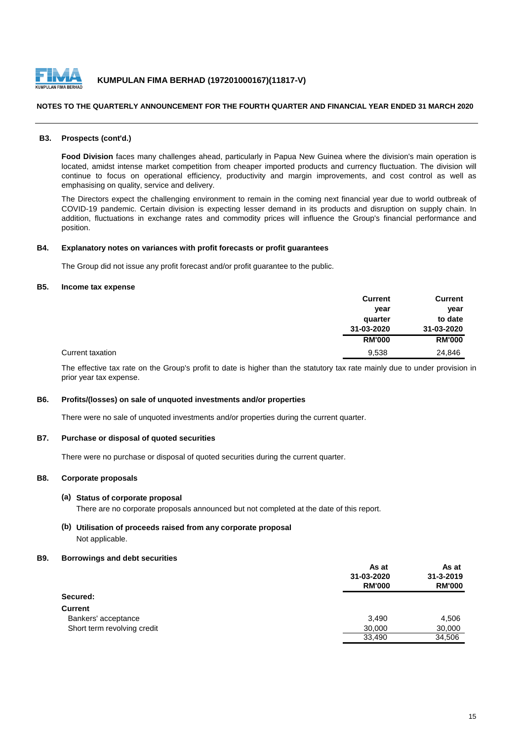

#### **NOTES TO THE QUARTERLY ANNOUNCEMENT FOR THE FOURTH QUARTER AND FINANCIAL YEAR ENDED 31 MARCH 2020**

#### **B3. Prospects (cont'd.)**

**Food Division** faces many challenges ahead, particularly in Papua New Guinea where the division's main operation is located, amidst intense market competition from cheaper imported products and currency fluctuation. The division will continue to focus on operational efficiency, productivity and margin improvements, and cost control as well as emphasising on quality, service and delivery.

The Directors expect the challenging environment to remain in the coming next financial year due to world outbreak of COVID-19 pandemic. Certain division is expecting lesser demand in its products and disruption on supply chain. In addition, fluctuations in exchange rates and commodity prices will influence the Group's financial performance and position.

#### **B4. Explanatory notes on variances with profit forecasts or profit guarantees**

The Group did not issue any profit forecast and/or profit guarantee to the public.

## **B5. Income tax expense**

|                  | <b>Current</b> | <b>Current</b> |
|------------------|----------------|----------------|
|                  | year           | year           |
|                  | quarter        | to date        |
|                  | 31-03-2020     | 31-03-2020     |
|                  | <b>RM'000</b>  | <b>RM'000</b>  |
| Current taxation | 9,538          | 24,846         |

The effective tax rate on the Group's profit to date is higher than the statutory tax rate mainly due to under provision in prior year tax expense.

## **B6. Profits/(losses) on sale of unquoted investments and/or properties**

There were no sale of unquoted investments and/or properties during the current quarter.

# **B7. Purchase or disposal of quoted securities**

There were no purchase or disposal of quoted securities during the current quarter.

# **B8. Corporate proposals**

#### **(a) Status of corporate proposal**

There are no corporate proposals announced but not completed at the date of this report.

# **(b) Utilisation of proceeds raised from any corporate proposal** Not applicable.

#### **B9. Borrowings and debt securities**

|                             | As at         | As at<br>31-3-2019<br><b>RM'000</b> |
|-----------------------------|---------------|-------------------------------------|
|                             | 31-03-2020    |                                     |
|                             | <b>RM'000</b> |                                     |
| Secured:                    |               |                                     |
| <b>Current</b>              |               |                                     |
| Bankers' acceptance         | 3,490         | 4,506                               |
| Short term revolving credit | 30,000        | 30,000                              |
|                             | 33,490        | 34,506                              |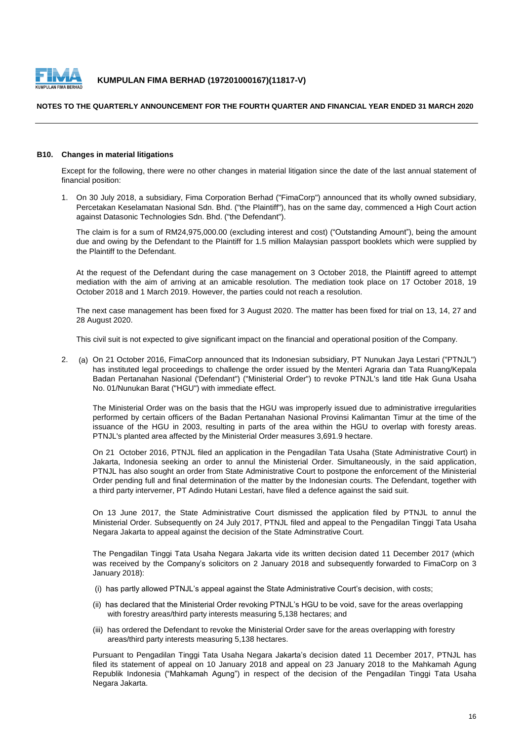

### **NOTES TO THE QUARTERLY ANNOUNCEMENT FOR THE FOURTH QUARTER AND FINANCIAL YEAR ENDED 31 MARCH 2020**

#### **B10. Changes in material litigations**

Except for the following, there were no other changes in material litigation since the date of the last annual statement of financial position:

1. On 30 July 2018, a subsidiary, Fima Corporation Berhad ("FimaCorp") announced that its wholly owned subsidiary, Percetakan Keselamatan Nasional Sdn. Bhd. ("the Plaintiff"), has on the same day, commenced a High Court action against Datasonic Technologies Sdn. Bhd. ("the Defendant").

The claim is for a sum of RM24,975,000.00 (excluding interest and cost) ("Outstanding Amount"), being the amount due and owing by the Defendant to the Plaintiff for 1.5 million Malaysian passport booklets which were supplied by the Plaintiff to the Defendant.

At the request of the Defendant during the case management on 3 October 2018, the Plaintiff agreed to attempt mediation with the aim of arriving at an amicable resolution. The mediation took place on 17 October 2018, 19 October 2018 and 1 March 2019. However, the parties could not reach a resolution.

The next case management has been fixed for 3 August 2020. The matter has been fixed for trial on 13, 14, 27 and 28 August 2020.

This civil suit is not expected to give significant impact on the financial and operational position of the Company.

2. (a) On 21 October 2016, FimaCorp announced that its Indonesian subsidiary, PT Nunukan Jaya Lestari ("PTNJL") has instituted legal proceedings to challenge the order issued by the Menteri Agraria dan Tata Ruang/Kepala Badan Pertanahan Nasional ('Defendant") ("Ministerial Order") to revoke PTNJL's land title Hak Guna Usaha No. 01/Nunukan Barat ("HGU") with immediate effect.

The Ministerial Order was on the basis that the HGU was improperly issued due to administrative irregularities performed by certain officers of the Badan Pertanahan Nasional Provinsi Kalimantan Timur at the time of the issuance of the HGU in 2003, resulting in parts of the area within the HGU to overlap with foresty areas. PTNJL's planted area affected by the Ministerial Order measures 3,691.9 hectare.

On 21 October 2016, PTNJL filed an application in the Pengadilan Tata Usaha (State Administrative Court) in Jakarta, Indonesia seeking an order to annul the Ministerial Order. Simultaneously, in the said application, PTNJL has also sought an order from State Administrative Court to postpone the enforcement of the Ministerial Order pending full and final determination of the matter by the Indonesian courts. The Defendant, together with a third party interverner, PT Adindo Hutani Lestari, have filed a defence against the said suit.

On 13 June 2017, the State Administrative Court dismissed the application filed by PTNJL to annul the Ministerial Order. Subsequently on 24 July 2017, PTNJL filed and appeal to the Pengadilan Tinggi Tata Usaha Negara Jakarta to appeal against the decision of the State Adminstrative Court.

The Pengadilan Tinggi Tata Usaha Negara Jakarta vide its written decision dated 11 December 2017 (which was received by the Company's solicitors on 2 January 2018 and subsequently forwarded to FimaCorp on 3 January 2018):

- (i) has partly allowed PTNJL's appeal against the State Administrative Court's decision, with costs;
- (ii) has declared that the Ministerial Order revoking PTNJL's HGU to be void, save for the areas overlapping with forestry areas/third party interests measuring 5,138 hectares; and
- (iii) has ordered the Defendant to revoke the Ministerial Order save for the areas overlapping with forestry areas/third party interests measuring 5,138 hectares.

Pursuant to Pengadilan Tinggi Tata Usaha Negara Jakarta's decision dated 11 December 2017, PTNJL has filed its statement of appeal on 10 January 2018 and appeal on 23 January 2018 to the Mahkamah Agung Republik Indonesia ("Mahkamah Agung") in respect of the decision of the Pengadilan Tinggi Tata Usaha Negara Jakarta.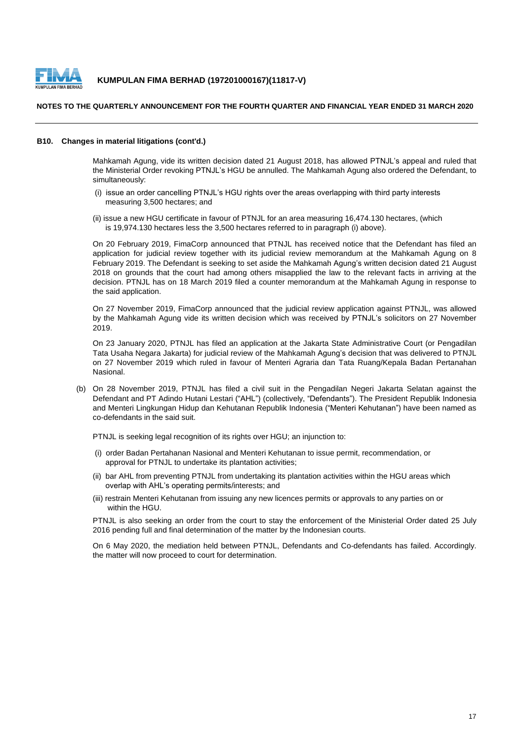

#### **NOTES TO THE QUARTERLY ANNOUNCEMENT FOR THE FOURTH QUARTER AND FINANCIAL YEAR ENDED 31 MARCH 2020**

#### **B10. Changes in material litigations (cont'd.)**

Mahkamah Agung, vide its written decision dated 21 August 2018, has allowed PTNJL's appeal and ruled that the Ministerial Order revoking PTNJL's HGU be annulled. The Mahkamah Agung also ordered the Defendant, to simultaneously:

- (i) issue an order cancelling PTNJL's HGU rights over the areas overlapping with third party interests measuring 3,500 hectares; and
- (ii) issue a new HGU certificate in favour of PTNJL for an area measuring 16,474.130 hectares, (which is 19,974.130 hectares less the 3,500 hectares referred to in paragraph (i) above).

On 20 February 2019, FimaCorp announced that PTNJL has received notice that the Defendant has filed an application for judicial review together with its judicial review memorandum at the Mahkamah Agung on 8 February 2019. The Defendant is seeking to set aside the Mahkamah Agung's written decision dated 21 August 2018 on grounds that the court had among others misapplied the law to the relevant facts in arriving at the decision. PTNJL has on 18 March 2019 filed a counter memorandum at the Mahkamah Agung in response to the said application.

On 27 November 2019, FimaCorp announced that the judicial review application against PTNJL, was allowed by the Mahkamah Agung vide its written decision which was received by PTNJL's solicitors on 27 November 2019.

On 23 January 2020, PTNJL has filed an application at the Jakarta State Administrative Court (or Pengadilan Tata Usaha Negara Jakarta) for judicial review of the Mahkamah Agung's decision that was delivered to PTNJL on 27 November 2019 which ruled in favour of Menteri Agraria dan Tata Ruang/Kepala Badan Pertanahan Nasional.

(b) On 28 November 2019, PTNJL has filed a civil suit in the Pengadilan Negeri Jakarta Selatan against the Defendant and PT Adindo Hutani Lestari ("AHL") (collectively, "Defendants"). The President Republik Indonesia and Menteri Lingkungan Hidup dan Kehutanan Republik Indonesia ("Menteri Kehutanan") have been named as co-defendants in the said suit.

PTNJL is seeking legal recognition of its rights over HGU; an injunction to:

- (i) order Badan Pertahanan Nasional and Menteri Kehutanan to issue permit, recommendation, or approval for PTNJL to undertake its plantation activities;
- (ii) bar AHL from preventing PTNJL from undertaking its plantation activities within the HGU areas which overlap with AHL's operating permits/interests; and
- (iii) restrain Menteri Kehutanan from issuing any new licences permits or approvals to any parties on or within the **HGU**

PTNJL is also seeking an order from the court to stay the enforcement of the Ministerial Order dated 25 July 2016 pending full and final determination of the matter by the Indonesian courts.

On 6 May 2020, the mediation held between PTNJL, Defendants and Co-defendants has failed. Accordingly. the matter will now proceed to court for determination.